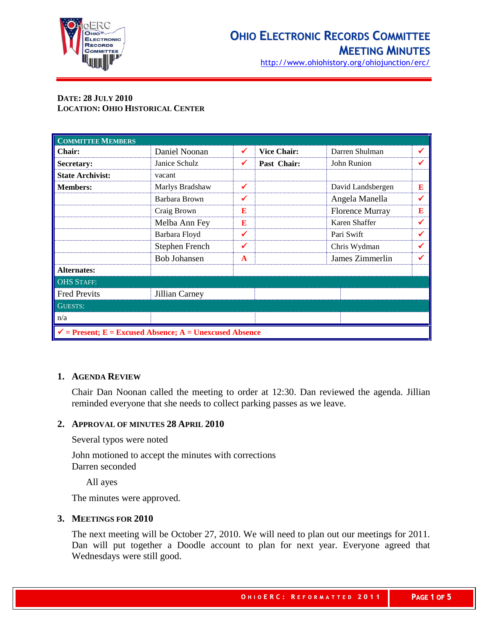

http://www.ohiohistory.org/ohiojunction/erc/

# **DATE: 28 JULY 2010 LOCATION: OHIO HISTORICAL CENTER**

| <b>COMMITTEE MEMBERS</b>                                           |                     |              |                    |                        |   |
|--------------------------------------------------------------------|---------------------|--------------|--------------------|------------------------|---|
| <b>Chair:</b>                                                      | Daniel Noonan       | $\checkmark$ | <b>Vice Chair:</b> | Darren Shulman         | ✔ |
| Secretary:                                                         | Janice Schulz       | ✔            | Past Chair:        | John Runion            | ✔ |
| <b>State Archivist:</b>                                            | vacant              |              |                    |                        |   |
| <b>Members:</b>                                                    | Marlys Bradshaw     | $\checkmark$ |                    | David Landsbergen      | E |
|                                                                    | Barbara Brown       | ✔            |                    | Angela Manella         | ✔ |
|                                                                    | Craig Brown         | E            |                    | <b>Florence Murray</b> | E |
|                                                                    | Melba Ann Fey       | E            |                    | Karen Shaffer          | ✔ |
|                                                                    | Barbara Floyd       | ✔            |                    | Pari Swift             | ✔ |
|                                                                    | Stephen French      | $\checkmark$ |                    | Chris Wydman           | ✔ |
|                                                                    | <b>Bob Johansen</b> | $\mathbf{A}$ |                    | James Zimmerlin        | ✔ |
| <b>Alternates:</b>                                                 |                     |              |                    |                        |   |
| <b>OHS STAFF:</b>                                                  |                     |              |                    |                        |   |
| <b>Fred Previts</b>                                                | Jillian Carney      |              |                    |                        |   |
| <b>GUESTS:</b>                                                     |                     |              |                    |                        |   |
| n/a                                                                |                     |              |                    |                        |   |
| $\checkmark$ = Present; E = Excused Absence; A = Unexcused Absence |                     |              |                    |                        |   |

# **1. AGENDA REVIEW**

Chair Dan Noonan called the meeting to order at 12:30. Dan reviewed the agenda. Jillian reminded everyone that she needs to collect parking passes as we leave.

# **2. APPROVAL OF MINUTES 28 APRIL 2010**

Several typos were noted

John motioned to accept the minutes with corrections Darren seconded

All ayes

The minutes were approved.

# **3. MEETINGS FOR 2010**

The next meeting will be October 27, 2010. We will need to plan out our meetings for 2011. Dan will put together a Doodle account to plan for next year. Everyone agreed that Wednesdays were still good.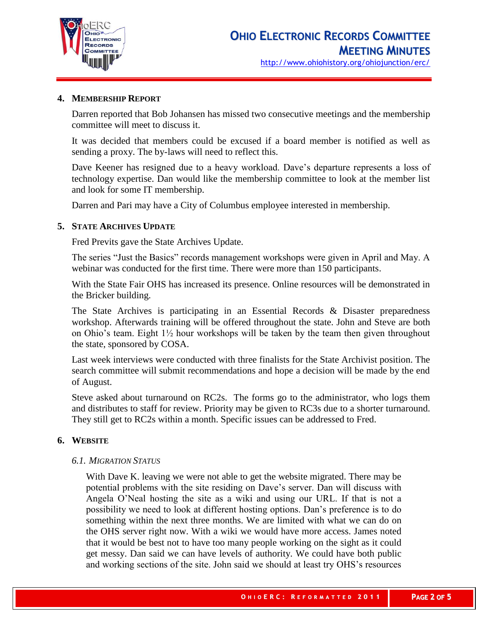

## **4. MEMBERSHIP REPORT**

Darren reported that Bob Johansen has missed two consecutive meetings and the membership committee will meet to discuss it.

It was decided that members could be excused if a board member is notified as well as sending a proxy. The by-laws will need to reflect this.

Dave Keener has resigned due to a heavy workload. Dave's departure represents a loss of technology expertise. Dan would like the membership committee to look at the member list and look for some IT membership.

Darren and Pari may have a City of Columbus employee interested in membership.

## **5. STATE ARCHIVES UPDATE**

Fred Previts gave the State Archives Update.

The series "Just the Basics" records management workshops were given in April and May. A webinar was conducted for the first time. There were more than 150 participants.

With the State Fair OHS has increased its presence. Online resources will be demonstrated in the Bricker building.

The State Archives is participating in an Essential Records  $\&$  Disaster preparedness workshop. Afterwards training will be offered throughout the state. John and Steve are both on Ohio's team. Eight 1½ hour workshops will be taken by the team then given throughout the state, sponsored by COSA.

Last week interviews were conducted with three finalists for the State Archivist position. The search committee will submit recommendations and hope a decision will be made by the end of August.

Steve asked about turnaround on RC2s. The forms go to the administrator, who logs them and distributes to staff for review. Priority may be given to RC3s due to a shorter turnaround. They still get to RC2s within a month. Specific issues can be addressed to Fred.

# **6. WEBSITE**

#### *6.1. MIGRATION STATUS*

With Dave K. leaving we were not able to get the website migrated. There may be potential problems with the site residing on Dave's server. Dan will discuss with Angela O'Neal hosting the site as a wiki and using our URL. If that is not a possibility we need to look at different hosting options. Dan's preference is to do something within the next three months. We are limited with what we can do on the OHS server right now. With a wiki we would have more access. James noted that it would be best not to have too many people working on the sight as it could get messy. Dan said we can have levels of authority. We could have both public and working sections of the site. John said we should at least try OHS's resources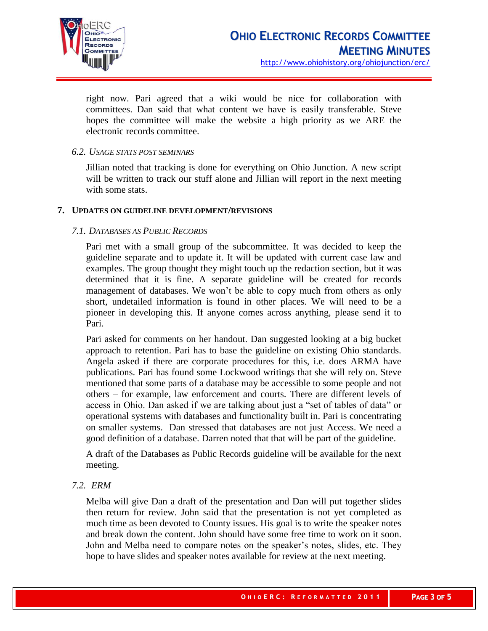

right now. Pari agreed that a wiki would be nice for collaboration with committees. Dan said that what content we have is easily transferable. Steve hopes the committee will make the website a high priority as we ARE the electronic records committee.

## *6.2. USAGE STATS POST SEMINARS*

Jillian noted that tracking is done for everything on Ohio Junction. A new script will be written to track our stuff alone and Jillian will report in the next meeting with some stats.

## **7. UPDATES ON GUIDELINE DEVELOPMENT/REVISIONS**

## *7.1. DATABASES AS PUBLIC RECORDS*

Pari met with a small group of the subcommittee. It was decided to keep the guideline separate and to update it. It will be updated with current case law and examples. The group thought they might touch up the redaction section, but it was determined that it is fine. A separate guideline will be created for records management of databases. We won't be able to copy much from others as only short, undetailed information is found in other places. We will need to be a pioneer in developing this. If anyone comes across anything, please send it to Pari.

Pari asked for comments on her handout. Dan suggested looking at a big bucket approach to retention. Pari has to base the guideline on existing Ohio standards. Angela asked if there are corporate procedures for this, i.e. does ARMA have publications. Pari has found some Lockwood writings that she will rely on. Steve mentioned that some parts of a database may be accessible to some people and not others – for example, law enforcement and courts. There are different levels of access in Ohio. Dan asked if we are talking about just a "set of tables of data" or operational systems with databases and functionality built in. Pari is concentrating on smaller systems. Dan stressed that databases are not just Access. We need a good definition of a database. Darren noted that that will be part of the guideline.

A draft of the Databases as Public Records guideline will be available for the next meeting.

# *7.2. ERM*

Melba will give Dan a draft of the presentation and Dan will put together slides then return for review. John said that the presentation is not yet completed as much time as been devoted to County issues. His goal is to write the speaker notes and break down the content. John should have some free time to work on it soon. John and Melba need to compare notes on the speaker's notes, slides, etc. They hope to have slides and speaker notes available for review at the next meeting.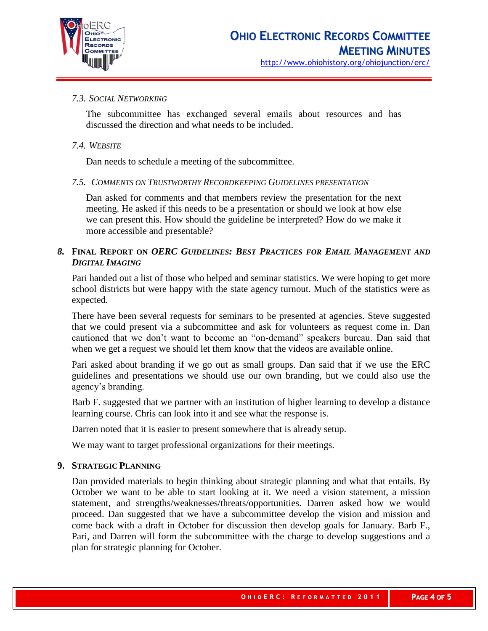

# *7.3. SOCIAL NETWORKING*

The subcommittee has exchanged several emails about resources and has discussed the direction and what needs to be included.

## *7.4. WEBSITE*

Dan needs to schedule a meeting of the subcommittee.

## *7.5. COMMENTS ON TRUSTWORTHY RECORDKEEPING GUIDELINES PRESENTATION*

Dan asked for comments and that members review the presentation for the next meeting. He asked if this needs to be a presentation or should we look at how else we can present this. How should the guideline be interpreted? How do we make it more accessible and presentable?

# *8.* **FINAL REPORT ON** *OERC GUIDELINES: BEST PRACTICES FOR EMAIL MANAGEMENT AND DIGITAL IMAGING*

Pari handed out a list of those who helped and seminar statistics. We were hoping to get more school districts but were happy with the state agency turnout. Much of the statistics were as expected.

There have been several requests for seminars to be presented at agencies. Steve suggested that we could present via a subcommittee and ask for volunteers as request come in. Dan cautioned that we don't want to become an "on-demand" speakers bureau. Dan said that when we get a request we should let them know that the videos are available online.

Pari asked about branding if we go out as small groups. Dan said that if we use the ERC guidelines and presentations we should use our own branding, but we could also use the agency's branding.

Barb F. suggested that we partner with an institution of higher learning to develop a distance learning course. Chris can look into it and see what the response is.

Darren noted that it is easier to present somewhere that is already setup.

We may want to target professional organizations for their meetings.

#### **9. STRATEGIC PLANNING**

Dan provided materials to begin thinking about strategic planning and what that entails. By October we want to be able to start looking at it. We need a vision statement, a mission statement, and strengths/weaknesses/threats/opportunities. Darren asked how we would proceed. Dan suggested that we have a subcommittee develop the vision and mission and come back with a draft in October for discussion then develop goals for January. Barb F., Pari, and Darren will form the subcommittee with the charge to develop suggestions and a plan for strategic planning for October.